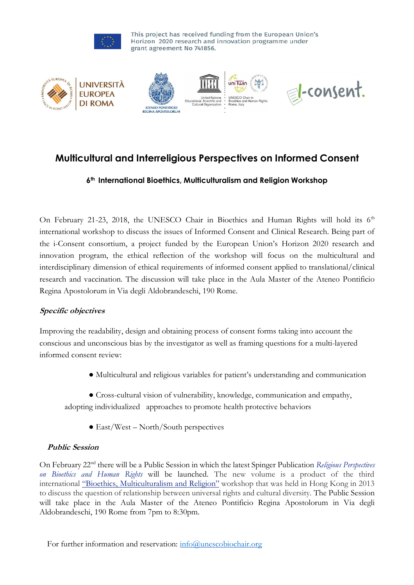

# **Multicultural and Interreligious Perspectives on Informed Consent**

# **6th International Bioethics, Multiculturalism and Religion Workshop**

On February 21-23, 2018, the UNESCO Chair in Bioethics and Human Rights will hold its  $6<sup>th</sup>$ international workshop to discuss the issues of Informed Consent and Clinical Research. Being part of the i-Consent consortium, a project funded by the European Union's Horizon 2020 research and innovation program, the ethical reflection of the workshop will focus on the multicultural and interdisciplinary dimension of ethical requirements of informed consent applied to translational/clinical research and vaccination. The discussion will take place in the Aula Master of the Ateneo Pontificio Regina Apostolorum in Via degli Aldobrandeschi, 190 Rome.

# **Specific objectives**

Improving the readability, design and obtaining process of consent forms taking into account the conscious and unconscious bias by the investigator as well as framing questions for a multi-layered informed consent review:

● Multicultural and religious variables for patient's understanding and communication

● Cross-cultural vision of vulnerability, knowledge, communication and empathy, adopting individualized approaches to promote health protective behaviors

● East/West – North/South perspectives

#### **Public Session**

On February 22nd there will be a Public Session in which the latest Spinger Publication *Religious [Perspectives](http://www.springer.com/it/book/9783319584294?wt_mc=ThirdParty.SpringerLink.3.EPR653.About_eBook) on [Bioethics](http://www.springer.com/it/book/9783319584294?wt_mc=ThirdParty.SpringerLink.3.EPR653.About_eBook) and Human Rights* will be launched. The new volume is a product of the third international "Bioethics, [Multiculturalism](http://www.unescobiochair.org/project/bioethics-multiculturalism-and-religion/) and Religion" workshop that was held in Hong Kong in 2013 to discuss the question of relationship between universal rights and cultural diversity. The Public Session will take place in the Aula Master of the Ateneo Pontificio Regina Apostolorum in Via degli Aldobrandeschi, 190 Rome from 7pm to 8:30pm.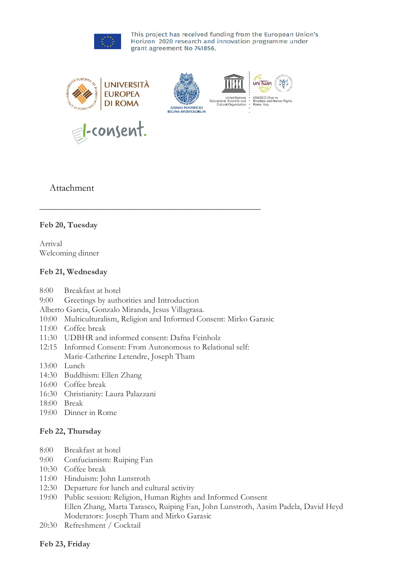

# Attachment

### **Feb 20, Tuesday**

Arrival Welcoming dinner

#### **Feb 21, Wednesday**

- 8:00 Breakfast at hotel
- 9:00 Greetings by authorities and Introduction
- Alberto Garcia, Gonzalo Miranda, Jesus Villagrasa.
- 10:00 Multiculturalism, Religion and Informed Consent: Mirko Garasic

\_\_\_\_\_\_\_\_\_\_\_\_\_\_\_\_\_\_\_\_\_\_\_\_\_\_\_\_\_\_\_\_\_\_\_\_\_\_\_\_\_\_\_\_\_\_\_\_\_\_\_\_\_

- 11:00 Coffee break
- 11:30 UDBHR and informed consent: Dafna Feinholz
- 12:15 Informed Consent: From Autonomous to Relational self: Marie-Catherine Letendre, Joseph Tham
- 13:00 Lunch
- 14:30 Buddhism: Ellen Zhang
- 16:00 Coffee break
- 16:30 Christianity: Laura Palazzani
- 18:00 Break
- 19:00 Dinner in Rome

#### **Feb 22, Thursday**

- 8:00 Breakfast at hotel
- 9:00 Confucianism: Ruiping Fan
- 10:30 Coffee break
- 11:00 Hinduism: John Lunstroth
- 12:30 Departure for lunch and cultural activity
- 19:00 Public session: Religion, Human Rights and Informed Consent Ellen Zhang, Marta Tarasco, Ruiping Fan, John Lunstroth, Aasim Padela, David Heyd Moderators: Joseph Tham and Mirko Garasic
- 20:30 Refreshment / Cocktail

#### **Feb 23, Friday**